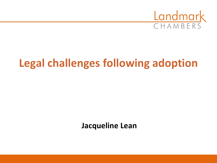

# **Legal challenges following adoption**

**Jacqueline Lean**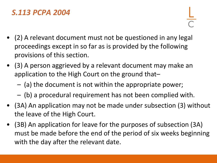## *S.113 PCPA 2004*

- (2) A relevant document must not be questioned in any legal proceedings except in so far as is provided by the following provisions of this section.
- (3) A person aggrieved by a relevant document may make an application to the High Court on the ground that–
	- (a) the document is not within the appropriate power;
	- (b) a procedural requirement has not been complied with.
- (3A) An application may not be made under subsection (3) without the leave of the High Court.
- (3B) An application for leave for the purposes of subsection (3A) must be made before the end of the period of six weeks beginning with the day after the relevant date.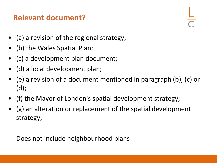## **Relevant document?**



- (a) a revision of the regional strategy;
- (b) the Wales Spatial Plan;
- (c) a development plan document;
- (d) a local development plan;
- (e) a revision of a document mentioned in paragraph (b), (c) or (d);
- (f) the Mayor of London's spatial development strategy;
- (g) an alteration or replacement of the spatial development strategy,
- Does not include neighbourhood plans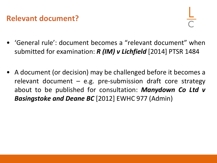#### **Relevant document?**

- 'General rule': document becomes a "relevant document" when submitted for examination: *R (IM) v Lichfield* [2014] PTSR 1484
- A document (or decision) may be challenged before it becomes a relevant document  $-$  e.g. pre-submission draft core strategy about to be published for consultation: *Manydown Co Ltd v Basingstoke and Deane BC* [2012] EWHC 977 (Admin)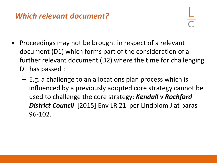## *Which relevant document?*

- 
- Proceedings may not be brought in respect of a relevant document (D1) which forms part of the consideration of a further relevant document (D2) where the time for challenging D1 has passed :
	- E.g. a challenge to an allocations plan process which is influenced by a previously adopted core strategy cannot be used to challenge the core strategy: *Kendall v Rochford District Council* [2015] Env LR 21 per Lindblom J at paras 96-102.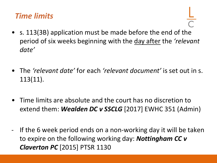#### *Time limits*

- s. 113(3B) application must be made before the end of the period of six weeks beginning with the day after the *'relevant date'*
- The *'relevant date'* for each *'relevant document'* is set out in s. 113(11).
- Time limits are absolute and the court has no discretion to extend them: *Wealden DC v SSCLG* [2017] EWHC 351 (Admin)
- If the 6 week period ends on a non-working day it will be taken to expire on the following working day: *Nottingham CC v Claverton PC* [2015] PTSR 1130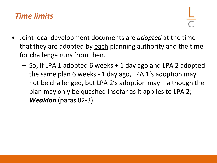## *Time limits*

- Joint local development documents are *adopted* at the time that they are adopted by each planning authority and the time for challenge runs from then.
	- So, if LPA 1 adopted 6 weeks + 1 day ago and LPA 2 adopted the same plan 6 weeks - 1 day ago, LPA 1's adoption may not be challenged, but LPA 2's adoption may – although the plan may only be quashed insofar as it applies to LPA 2; *Wealdon* (paras 82-3)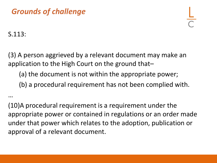## *Grounds of challenge*

S.113:

…

(3) A person aggrieved by a relevant document may make an application to the High Court on the ground that–

(a) the document is not within the appropriate power;

(b) a procedural requirement has not been complied with.

(10)A procedural requirement is a requirement under the appropriate power or contained in regulations or an order made under that power which relates to the adoption, publication or approval of a relevant document.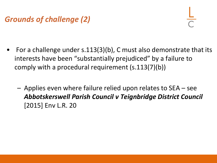## *Grounds of challenge (2)*



- For a challenge under  $s.113(3)(b)$ , C must also demonstrate that its interests have been "substantially prejudiced" by a failure to comply with a procedural requirement (s.113(7)(b))
	- Applies even where failure relied upon relates to SEA see *Abbotskerswell Parish Council v Teignbridge District Council*  [2015] Env L.R. 20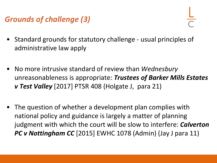## *Grounds of challenge (3)*

- 
- Standard grounds for statutory challenge usual principles of administrative law apply
- No more intrusive standard of review than *Wednesbury*  unreasonableness is appropriate: *Trustees of Barker Mills Estates v Test Valley* [2017] PTSR 408 (Holgate J, para 21)
- The question of whether a development plan complies with national policy and guidance is largely a matter of planning judgment with which the court will be slow to interfere: *Calverton PC v Nottingham CC* [2015] EWHC 1078 (Admin) (Jay J para 11)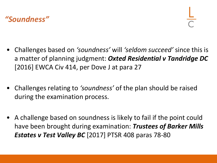## *"Soundness"*

- Challenges based on *'soundness'* will *'seldom succeed'* since this is a matter of planning judgment: *Oxted Residential v Tandridge DC*  [2016] EWCA Civ 414, per Dove J at para 27
- Challenges relating to *'soundness'* of the plan should be raised during the examination process.
- A challenge based on soundness is likely to fail if the point could have been brought during examination: *Trustees of Barker Mills Estates v Test Valley BC* [2017] PTSR 408 paras 78-80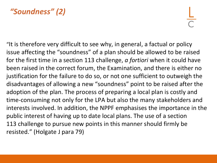## *"Soundness" (2)*

"It is therefore very difficult to see why, in general, a factual or policy issue affecting the "soundness" of a plan should be allowed to be raised for the first time in a section 113 challenge, *a fortiori* when it could have been raised in the correct forum, the Examination, and there is either no justification for the failure to do so, or not one sufficient to outweigh the disadvantages of allowing a new "soundness" point to be raised after the adoption of the plan. The process of preparing a local plan is costly and time-consuming not only for the LPA but also the many stakeholders and interests involved. In addition, the NPPF emphasises the importance in the public interest of having up to date local plans. The use of a section 113 challenge to pursue new points in this manner should firmly be resisted." (Holgate J para 79)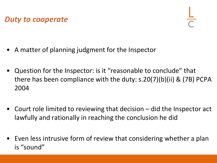*Duty to cooperate*



- A matter of planning judgment for the Inspector
- Question for the Inspector: is it "reasonable to conclude" that there has been compliance with the duty: s.20(7)(b)(ii) & (7B) PCPA 2004
- Court role limited to reviewing that decision did the Inspector act lawfully and rationally in reaching the conclusion he did
- Even less intrusive form of review that considering whether a plan is "sound"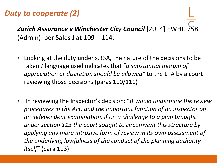#### *Duty to cooperate (2)*

*Zurich Assurance v Winchester City Council* [2014] EWHC 758 (Admin) per Sales J at 109 – 114:

- Looking at the duty under s.33A, the nature of the decisions to be taken / language used indicates that "*a substantial margin of appreciation or discretion should be allowed"* to the LPA by a court reviewing those decisions (paras 110/111)
- In reviewing the Inspector's decision: "*It would undermine the review procedures in the Act, and the important function of an inspector on an independent examination, if on a challenge to a plan brought under section 113 the court sought to circumvent this structure by applying any more intrusive form of review in its own assessment of the underlying lawfulness of the conduct of the planning authority itself"* (para 113)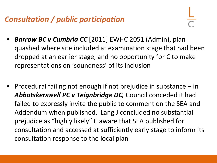## *Consultation / public participation*

- *Barrow BC v Cumbria CC* [2011] EWHC 2051 (Admin), plan quashed where site included at examination stage that had been dropped at an earlier stage, and no opportunity for C to make representations on 'soundness' of its inclusion
- Procedural failing not enough if not prejudice in substance in *Abbotskerswell PC v Teignbridge DC,* Council conceded it had failed to expressly invite the public to comment on the SEA and Addendum when published. Lang J concluded no substantial prejudice as "highly likely" C aware that SEA published for consultation and accessed at sufficiently early stage to inform its consultation response to the local plan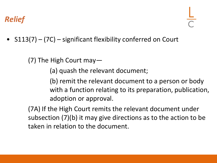• S113(7) – (7C) – significant flexibility conferred on Court

(7) The High Court may—

(a) quash the relevant document;

(b) remit the relevant document to a person or body with a function relating to its preparation, publication, adoption or approval.

(7A) If the High Court remits the relevant document under subsection (7)(b) it may give directions as to the action to be taken in relation to the document.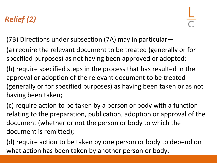# *Relief (2)*

- (7B) Directions under subsection (7A) may in particular—
- (a) require the relevant document to be treated (generally or for specified purposes) as not having been approved or adopted;
- (b) require specified steps in the process that has resulted in the approval or adoption of the relevant document to be treated (generally or for specified purposes) as having been taken or as not having been taken;
- (c) require action to be taken by a person or body with a function relating to the preparation, publication, adoption or approval of the document (whether or not the person or body to which the document is remitted);
- (d) require action to be taken by one person or body to depend on what action has been taken by another person or body.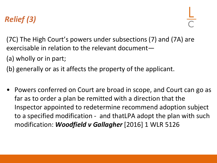## *Relief (3)*

(7C) The High Court's powers under subsections (7) and (7A) are exercisable in relation to the relevant document—

(a) wholly or in part;

(b) generally or as it affects the property of the applicant.

• Powers conferred on Court are broad in scope, and Court can go as far as to order a plan be remitted with a direction that the Inspector appointed to redetermine recommend adoption subject to a specified modification - and thatLPA adopt the plan with such modification: *Woodfield v Gallagher* [2016] 1 WLR 5126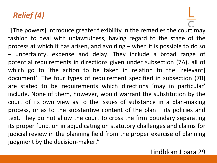## *Relief (4)*

"[The powers] introduce greater flexibility in the remedies the court may fashion to deal with unlawfulness, having regard to the stage of the process at which it has arisen, and avoiding – when it is possible to do so – uncertainty, expense and delay. They include a broad range of potential requirements in directions given under subsection (7A), all of which go to 'the action to be taken in relation to the [relevant] document'. The four types of requirement specified in subsection (7B) are stated to be requirements which directions 'may in particular' include. None of them, however, would warrant the substitution by the court of its own view as to the issues of substance in a plan-making process, or as to the substantive content of the plan – its policies and text. They do not allow the court to cross the firm boundary separating its proper function in adjudicating on statutory challenges and claims for judicial review in the planning field from the proper exercise of planning judgment by the decision-maker."

Lindblom J para 29